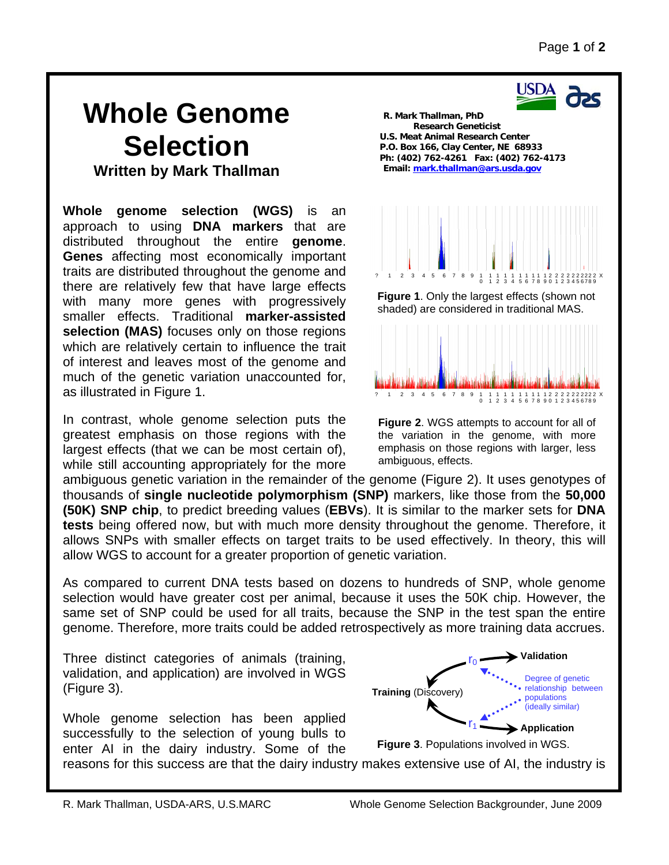USDA

## **Whole Genome Selection Written by Mark Thallman**

**Whole genome selection (WGS)** is an approach to using **DNA markers** that are distributed throughout the entire **genome**. **Genes** affecting most economically important traits are distributed throughout the genome and there are relatively few that have large effects with many more genes with progressively smaller effects. Traditional **marker-assisted selection (MAS)** focuses only on those regions which are relatively certain to influence the trait of interest and leaves most of the genome and much of the genetic variation unaccounted for, as illustrated in Figure 1.

In contrast, whole genome selection puts the greatest emphasis on those regions with the largest effects (that we can be most certain of), while still accounting appropriately for the more

ambiguous genetic variation in the remainder of the genome (Figure 2). It uses genotypes of thousands of **single nucleotide polymorphism (SNP)** markers, like those from the **50,000 (50K) SNP chip**, to predict breeding values (**EBVs**). It is similar to the marker sets for **DNA tests** being offered now, but with much more density throughout the genome. Therefore, it allows SNPs with smaller effects on target traits to be used effectively. In theory, this will allow WGS to account for a greater proportion of genetic variation.

As compared to current DNA tests based on dozens to hundreds of SNP, whole genome selection would have greater cost per animal, because it uses the 50K chip. However, the same set of SNP could be used for all traits, because the SNP in the test span the entire genome. Therefore, more traits could be added retrospectively as more training data accrues.

Three distinct categories of animals (training, validation, and application) are involved in WGS (Figure 3).

Whole genome selection has been applied successfully to the selection of young bulls to enter AI in the dairy industry. Some of the



**Figure 3**. Populations involved in WGS.

reasons for this success are that the dairy industry makes extensive use of AI, the industry is



**Figure 2**. WGS attempts to account for all of the variation in the genome, with more emphasis on those regions with larger, less ambiguous, effects.